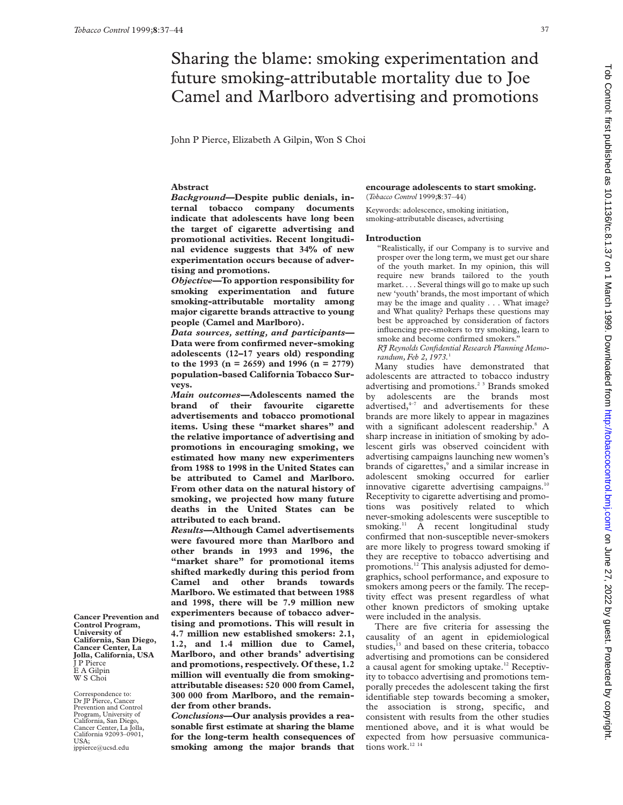# Sharing the blame: smoking experimentation and future smoking-attributable mortality due to Joe Camel and Marlboro advertising and promotions

John P Pierce, Elizabeth A Gilpin, Won S Choi

#### **Abstract**

*Background—***Despite public denials, internal tobacco company documents indicate that adolescents have long been the target of cigarette advertising and promotional activities. Recent longitudinal evidence suggests that 34% of new experimentation occurs because of advertising and promotions.**

*Objective—***To apportion responsibility for smoking experimentation and future smoking-attributable mortality among major cigarette brands attractive to young people (Camel and Marlboro).**

*Data sources, setting, and participants—* **Data were from confirmed never-smoking adolescents (12–17 years old) responding to the 1993 (n = 2659) and 1996 (n = 2779) population-based California Tobacco Surveys.**

*Main outcomes—***Adolescents named the brand of their favourite cigarette advertisements and tobacco promotional items. Using these "market shares" and the relative importance of advertising and promotions in encouraging smoking, we estimated how many new experimenters from 1988 to 1998 in the United States can be attributed to Camel and Marlboro. From other data on the natural history of smoking, we projected how many future deaths in the United States can be attributed to each brand.**

*Results—***Although Camel advertisements were favoured more than Marlboro and other brands in 1993 and 1996, the "market share" for promotional items shifted markedly during this period from Camel and other brands towards Marlboro. We estimated that between 1988 and 1998, there will be 7.9 million new experimenters because of tobacco advertising and promotions. This will result in 4.7 million new established smokers: 2.1, 1.2, and 1.4 million due to Camel, Marlboro, and other brands' advertising and promotions, respectively. Of these, 1.2 million will eventually die from smokingattributable diseases: 520 000 from Camel, 300 000 from Marlboro, and the remainder from other brands.**

*Conclusions—***Our analysis provides a reasonable first estimate at sharing the blame for the long-term health consequences of smoking among the major brands that**

#### **encourage adolescents to start smoking.** (*Tobacco Control* 1999;**8**:37–44)

Keywords: adolescence, smoking initiation, smoking-attributable diseases, advertising

#### **Introduction**

"Realistically, if our Company is to survive and prosper over the long term, we must get our share of the youth market. In my opinion, this will require new brands tailored to the youth market. . . . Several things will go to make up such new 'youth' brands, the most important of which may be the image and quality . . . What image? and What quality? Perhaps these questions may best be approached by consideration of factors influencing pre-smokers to try smoking, learn to smoke and become confirmed smokers." *RJ Reynolds Confidential Research Planning Memo-*

*randum, Feb 2, 1973.*<sup>1</sup>

Many studies have demonstrated that adolescents are attracted to tobacco industry advertising and promotions.<sup>23</sup> Brands smoked by adolescents are the brands most advertised, $4\pi$  and advertisements for these brands are more likely to appear in magazines with a significant adolescent readership.<sup>8</sup> A sharp increase in initiation of smoking by adolescent girls was observed coincident with advertising campaigns launching new women's brands of cigarettes,<sup>9</sup> and a similar increase in adolescent smoking occurred for earlier innovative cigarette advertising campaigns.<sup>10</sup> Receptivity to cigarette advertising and promotions was positively related to which never-smoking adolescents were susceptible to smoking.<sup>11</sup> A recent longitudinal study confirmed that non-susceptible never-smokers are more likely to progress toward smoking if they are receptive to tobacco advertising and promotions.12 This analysis adjusted for demographics, school performance, and exposure to smokers among peers or the family. The receptivity effect was present regardless of what other known predictors of smoking uptake were included in the analysis.

There are five criteria for assessing the causality of an agent in epidemiological studies,<sup>13</sup> and based on these criteria, tobacco advertising and promotions can be considered a causal agent for smoking uptake.<sup>12</sup> Receptivity to tobacco advertising and promotions temporally precedes the adolescent taking the first identifiable step towards becoming a smoker, the association is strong, specific, and consistent with results from the other studies mentioned above, and it is what would be expected from how persuasive communications work.<sup>12 14</sup>

Tob Control: first published as 10.1136/tc.8.1.37 on 1.27 on 1.27 on 1.27 on 1.27 on 1.27 on 1.27 on 1.27 on 1<br>Tob Control: first published as 10.1136/tc.8.1.27 on 1.27 on 1.28 on 1999. Downloaded from 1.27 on 1.27 on 1.2 Tob Control: first published as 10.1136/tc.8.1.37 on 1 March 1999. Downloaded from http://tobaccocontrol.bmj.com/ on June 27, 2022 by guest. Protected by copyright

**Cancer Prevention and Control Program, University of California, San Diego, Cancer Center, La Jolla, California, USA** J P Pierce E A Gilpin W S Choi

Correspondence to: Dr JP Pierce, Cancer Prevention and Control Program, University of California, San Diego, Cancer Center, La Jolla, California 92093–0901, USA; jppierce@ucsd.edu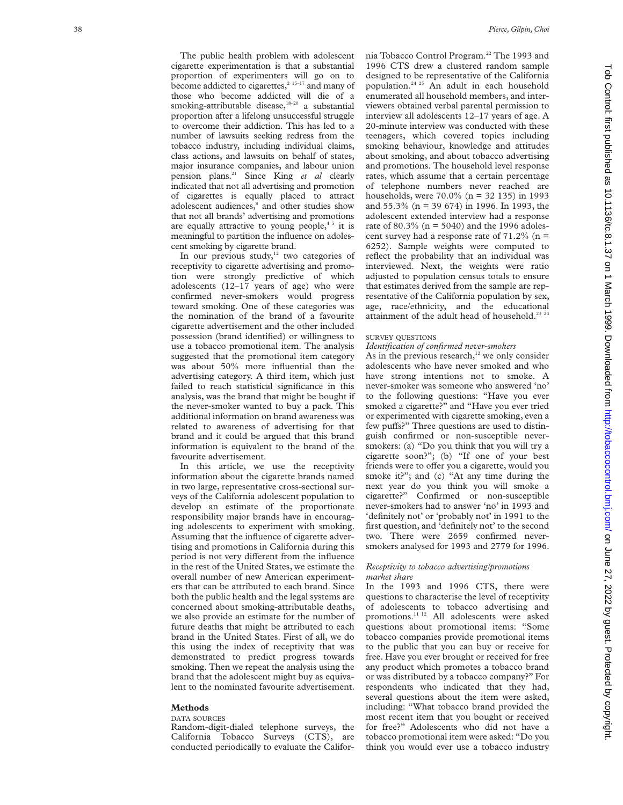The public health problem with adolescent cigarette experimentation is that a substantial proportion of experimenters will go on to become addicted to cigarettes, $2^{15-17}$  and many of those who become addicted will die of a smoking-attributable disease,<sup>18-20</sup> a substantial proportion after a lifelong unsuccessful struggle to overcome their addiction. This has led to a number of lawsuits seeking redress from the tobacco industry, including individual claims, class actions, and lawsuits on behalf of states, major insurance companies, and labour union pension plans.21 Since King *et al* clearly indicated that not all advertising and promotion of cigarettes is equally placed to attract adolescent audiences, <sup>8</sup> and other studies show that not all brands' advertising and promotions are equally attractive to young people, $45$  it is meaningful to partition the influence on adolescent smoking by cigarette brand.

In our previous study, $12$  two categories of receptivity to cigarette advertising and promotion were strongly predictive of which adolescents (12–17 years of age) who were confirmed never-smokers would progress toward smoking. One of these categories was the nomination of the brand of a favourite cigarette advertisement and the other included possession (brand identified) or willingness to use a tobacco promotional item. The analysis suggested that the promotional item category was about 50% more influential than the advertising category. A third item, which just failed to reach statistical significance in this analysis, was the brand that might be bought if the never-smoker wanted to buy a pack. This additional information on brand awareness was related to awareness of advertising for that brand and it could be argued that this brand information is equivalent to the brand of the favourite advertisement.

In this article, we use the receptivity information about the cigarette brands named in two large, representative cross-sectional surveys of the California adolescent population to develop an estimate of the proportionate responsibility major brands have in encouraging adolescents to experiment with smoking. Assuming that the influence of cigarette advertising and promotions in California during this period is not very different from the influence in the rest of the United States, we estimate the overall number of new American experimenters that can be attributed to each brand. Since both the public health and the legal systems are concerned about smoking-attributable deaths, we also provide an estimate for the number of future deaths that might be attributed to each brand in the United States. First of all, we do this using the index of receptivity that was demonstrated to predict progress towards smoking. Then we repeat the analysis using the brand that the adolescent might buy as equivalent to the nominated favourite advertisement.

#### **Methods**

#### DATA SOURCES

Random-digit-dialed telephone surveys, the California Tobacco Surveys (CTS), are conducted periodically to evaluate the California Tobacco Control Program.<sup>22</sup> The 1993 and 1996 CTS drew a clustered random sample designed to be representative of the California population.24 25 An adult in each household enumerated all household members, and interviewers obtained verbal parental permission to interview all adolescents 12–17 years of age. A 20-minute interview was conducted with these teenagers, which covered topics including smoking behaviour, knowledge and attitudes about smoking, and about tobacco advertising and promotions. The household level response rates, which assume that a certain percentage of telephone numbers never reached are households, were 70.0% (n = 32 135) in 1993 and 55.3% (n = 39 674) in 1996. In 1993, the adolescent extended interview had a response rate of 80.3% ( $n = 5040$ ) and the 1996 adolescent survey had a response rate of  $71.2\%$  (n = 6252). Sample weights were computed to reflect the probability that an individual was interviewed. Next, the weights were ratio adjusted to population census totals to ensure that estimates derived from the sample are representative of the California population by sex, age, race/ethnicity, and the educational attainment of the adult head of household.<sup>23 24</sup>

#### SURVEY QUESTIONS

*Identification of confirmed never-smokers*

As in the previous research,<sup>12</sup> we only consider adolescents who have never smoked and who have strong intentions not to smoke. A never-smoker was someone who answered 'no' to the following questions: "Have you ever smoked a cigarette?" and "Have you ever tried or experimented with cigarette smoking, even a few puffs?" Three questions are used to distinguish confirmed or non-susceptible neversmokers: (a) "Do you think that you will try a cigarette soon?"; (b) "If one of your best friends were to offer you a cigarette, would you smoke it?"; and (c) "At any time during the next year do you think you will smoke a cigarette?" Confirmed or non-susceptible never-smokers had to answer 'no' in 1993 and 'definitely not' or 'probably not' in 1991 to the first question, and 'definitely not' to the second two. There were 2659 confirmed neversmokers analysed for 1993 and 2779 for 1996.

#### *Receptivity to tobacco advertising/promotions market share*

In the 1993 and 1996 CTS, there were questions to characterise the level of receptivity of adolescents to tobacco advertising and promotions.<sup>11 12</sup> All adolescents were asked questions about promotional items: "Some tobacco companies provide promotional items to the public that you can buy or receive for free. Have you ever brought or received for free any product which promotes a tobacco brand or was distributed by a tobacco company?" For respondents who indicated that they had, several questions about the item were asked, including: "What tobacco brand provided the most recent item that you bought or received for free?" Adolescents who did not have a tobacco promotional item were asked: "Do you think you would ever use a tobacco industry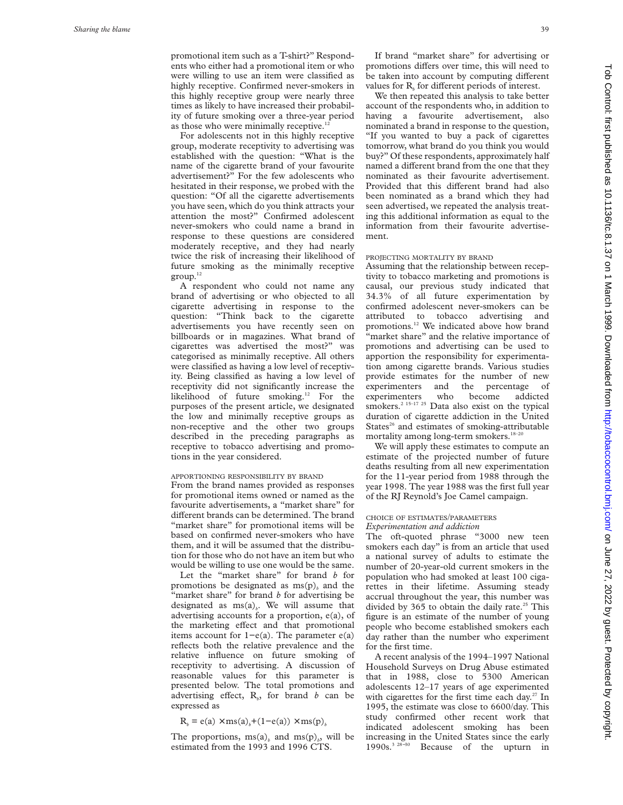promotional item such as a T-shirt?" Respondents who either had a promotional item or who were willing to use an item were classified as highly receptive. Confirmed never-smokers in this highly receptive group were nearly three times as likely to have increased their probability of future smoking over a three-year period as those who were minimally receptive.<sup>12</sup>

For adolescents not in this highly receptive group, moderate receptivity to advertising was established with the question: "What is the name of the cigarette brand of your favourite advertisement?" For the few adolescents who hesitated in their response, we probed with the question: "Of all the cigarette advertisements you have seen, which do you think attracts your attention the most?" Confirmed adolescent never-smokers who could name a brand in response to these questions are considered moderately receptive, and they had nearly twice the risk of increasing their likelihood of future smoking as the minimally receptive  $group.<sup>12</sup>$ 

A respondent who could not name any brand of advertising or who objected to all cigarette advertising in response to the question: "Think back to the cigarette advertisements you have recently seen on billboards or in magazines. What brand of cigarettes was advertised the most?" was categorised as minimally receptive. All others were classified as having a low level of receptivity. Being classified as having a low level of receptivity did not significantly increase the likelihood of future smoking.<sup>12</sup> For the purposes of the present article, we designated the low and minimally receptive groups as non-receptive and the other two groups described in the preceding paragraphs as receptive to tobacco advertising and promotions in the year considered.

#### APPORTIONING RESPONSIBILITY BY BRAND

From the brand names provided as responses for promotional items owned or named as the favourite advertisements, a "market share" for different brands can be determined. The brand "market share" for promotional items will be based on confirmed never-smokers who have them, and it will be assumed that the distribution for those who do not have an item but who would be willing to use one would be the same.

Let the "market share" for brand *b* for promotions be designated as  $ms(p)$ <sub>*b*</sub> and the "market share" for brand *b* for advertising be designated as  $ms(a)<sub>b</sub>$ . We will assume that advertising accounts for a proportion, e(a), of the marketing effect and that promotional items account for 1−e(a). The parameter e(a) reflects both the relative prevalence and the relative influence on future smoking of receptivity to advertising. A discussion of reasonable values for this parameter is presented below. The total promotions and advertising effect,  $R_b$ , for brand *b* can be expressed as

 $R_b = e(a) \times ms(a)_b + (1-e(a)) \times ms(p)_b$ 

The proportions,  $ms(a)_b$  and  $ms(p)_b$ , will be estimated from the 1993 and 1996 CTS.

If brand "market share" for advertising or promotions differs over time, this will need to be taken into account by computing different values for  $R<sub>b</sub>$  for different periods of interest.

We then repeated this analysis to take better account of the respondents who, in addition to having a favourite advertisement, also nominated a brand in response to the question, "If you wanted to buy a pack of cigarettes tomorrow, what brand do you think you would buy?" Of these respondents, approximately half named a different brand from the one that they nominated as their favourite advertisement. Provided that this different brand had also been nominated as a brand which they had seen advertised, we repeated the analysis treating this additional information as equal to the information from their favourite advertisement.

#### PROJECTING MORTALITY BY BRAND

Assuming that the relationship between receptivity to tobacco marketing and promotions is causal, our previous study indicated that 34.3% of all future experimentation by confirmed adolescent never-smokers can be attributed to tobacco advertising and promotions.12 We indicated above how brand "market share" and the relative importance of promotions and advertising can be used to apportion the responsibility for experimentation among cigarette brands. Various studies provide estimates for the number of new experimenters and the percentage of experimenters who become addicted smokers.<sup>2</sup> <sup>15–17</sup> <sup>25</sup> Data also exist on the typical duration of cigarette addiction in the United States<sup>26</sup> and estimates of smoking-attributable mortality among long-term smokers.<sup>18-20</sup>

We will apply these estimates to compute an estimate of the projected number of future deaths resulting from all new experimentation for the 11-year period from 1988 through the year 1998. The year 1988 was the first full year of the RJ Reynold's Joe Camel campaign.

#### CHOICE OF ESTIMATES/PARAMETERS *Experimentation and addiction*

The oft-quoted phrase "3000 new teen smokers each day" is from an article that used a national survey of adults to estimate the number of 20-year-old current smokers in the population who had smoked at least 100 cigarettes in their lifetime. Assuming steady accrual throughout the year, this number was divided by 365 to obtain the daily rate.<sup>25</sup> This figure is an estimate of the number of young people who become established smokers each day rather than the number who experiment for the first time.

A recent analysis of the 1994–1997 National Household Surveys on Drug Abuse estimated that in 1988, close to 5300 American adolescents 12–17 years of age experimented with cigarettes for the first time each day. $27 \text{ In}$ 1995, the estimate was close to 6600/day. This study confirmed other recent work that indicated adolescent smoking has been increasing in the United States since the early 1990s.3 28−<sup>30</sup> Because of the upturn in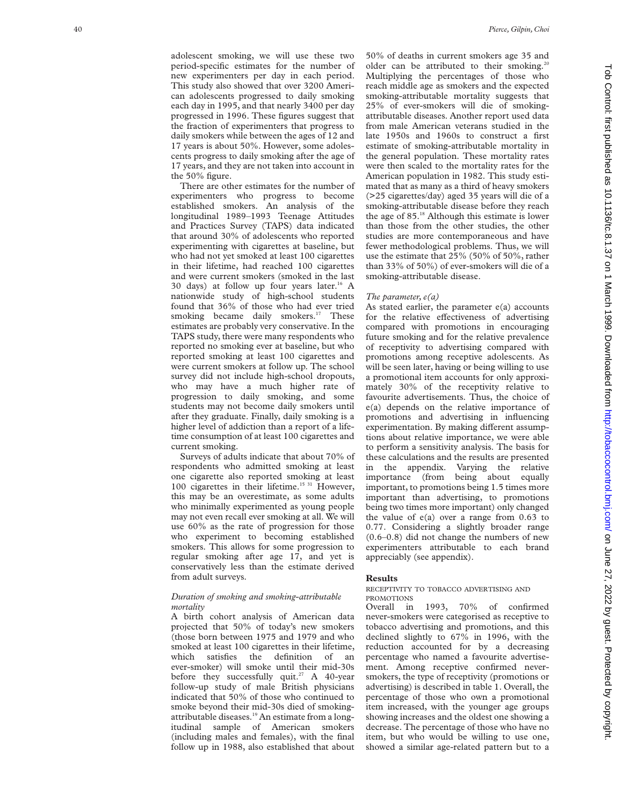adolescent smoking, we will use these two period-specific estimates for the number of new experimenters per day in each period. This study also showed that over 3200 American adolescents progressed to daily smoking each day in 1995, and that nearly 3400 per day progressed in 1996. These figures suggest that the fraction of experimenters that progress to daily smokers while between the ages of 12 and 17 years is about 50%. However, some adolescents progress to daily smoking after the age of 17 years, and they are not taken into account in the 50% figure.

There are other estimates for the number of experimenters who progress to become established smokers. An analysis of the longitudinal 1989–1993 Teenage Attitudes and Practices Survey (TAPS) data indicated that around 30% of adolescents who reported experimenting with cigarettes at baseline, but who had not yet smoked at least 100 cigarettes in their lifetime, had reached 100 cigarettes and were current smokers (smoked in the last 30 days) at follow up four years later.<sup>16</sup> A nationwide study of high-school students found that 36% of those who had ever tried smoking became daily smokers.<sup>17</sup> These estimates are probably very conservative. In the TAPS study, there were many respondents who reported no smoking ever at baseline, but who reported smoking at least 100 cigarettes and were current smokers at follow up. The school survey did not include high-school dropouts, who may have a much higher rate of progression to daily smoking, and some students may not become daily smokers until after they graduate. Finally, daily smoking is a higher level of addiction than a report of a lifetime consumption of at least 100 cigarettes and current smoking.

Surveys of adults indicate that about 70% of respondents who admitted smoking at least one cigarette also reported smoking at least 100 cigarettes in their lifetime.<sup>15 31</sup> However, this may be an overestimate, as some adults who minimally experimented as young people may not even recall ever smoking at all. We will use 60% as the rate of progression for those who experiment to becoming established smokers. This allows for some progression to regular smoking after age 17, and yet is conservatively less than the estimate derived from adult surveys.

#### *Duration of smoking and smoking-attributable mortality*

A birth cohort analysis of American data projected that 50% of today's new smokers (those born between 1975 and 1979 and who smoked at least 100 cigarettes in their lifetime, which satisfies the definition of an ever-smoker) will smoke until their mid-30s before they successfully quit.<sup>27</sup> A 40-year follow-up study of male British physicians indicated that 50% of those who continued to smoke beyond their mid-30s died of smokingattributable diseases.19 An estimate from a longitudinal sample of American smokers (including males and females), with the final follow up in 1988, also established that about

50% of deaths in current smokers age 35 and older can be attributed to their smoking.<sup>20</sup> Multiplying the percentages of those who reach middle age as smokers and the expected smoking-attributable mortality suggests that 25% of ever-smokers will die of smokingattributable diseases. Another report used data from male American veterans studied in the late 1950s and 1960s to construct a first estimate of smoking-attributable mortality in the general population. These mortality rates were then scaled to the mortality rates for the American population in 1982. This study estimated that as many as a third of heavy smokers (>25 cigarettes/day) aged 35 years will die of a smoking-attributable disease before they reach the age of 85.18 Although this estimate is lower than those from the other studies, the other studies are more contemporaneous and have fewer methodological problems. Thus, we will use the estimate that 25% (50% of 50%, rather than 33% of 50%) of ever-smokers will die of a smoking-attributable disease.

#### *The parameter, e(a)*

As stated earlier, the parameter e(a) accounts for the relative effectiveness of advertising compared with promotions in encouraging future smoking and for the relative prevalence of receptivity to advertising compared with promotions among receptive adolescents. As will be seen later, having or being willing to use a promotional item accounts for only approximately 30% of the receptivity relative to favourite advertisements. Thus, the choice of e(a) depends on the relative importance of promotions and advertising in influencing experimentation. By making different assumptions about relative importance, we were able to perform a sensitivity analysis. The basis for these calculations and the results are presented in the appendix. Varying the relative importance (from being about equally important, to promotions being 1.5 times more important than advertising, to promotions being two times more important) only changed the value of  $e(a)$  over a range from 0.63 to 0.77. Considering a slightly broader range (0.6–0.8) did not change the numbers of new experimenters attributable to each brand appreciably (see appendix).

#### **Results**

#### RECEPTIVITY TO TOBACCO ADVERTISING AND PROMOTIONS

Overall in 1993, 70% of confirmed never-smokers were categorised as receptive to tobacco advertising and promotions, and this declined slightly to 67% in 1996, with the reduction accounted for by a decreasing percentage who named a favourite advertisement. Among receptive confirmed neversmokers, the type of receptivity (promotions or advertising) is described in table 1. Overall, the percentage of those who own a promotional item increased, with the younger age groups showing increases and the oldest one showing a decrease. The percentage of those who have no item, but who would be willing to use one, showed a similar age-related pattern but to a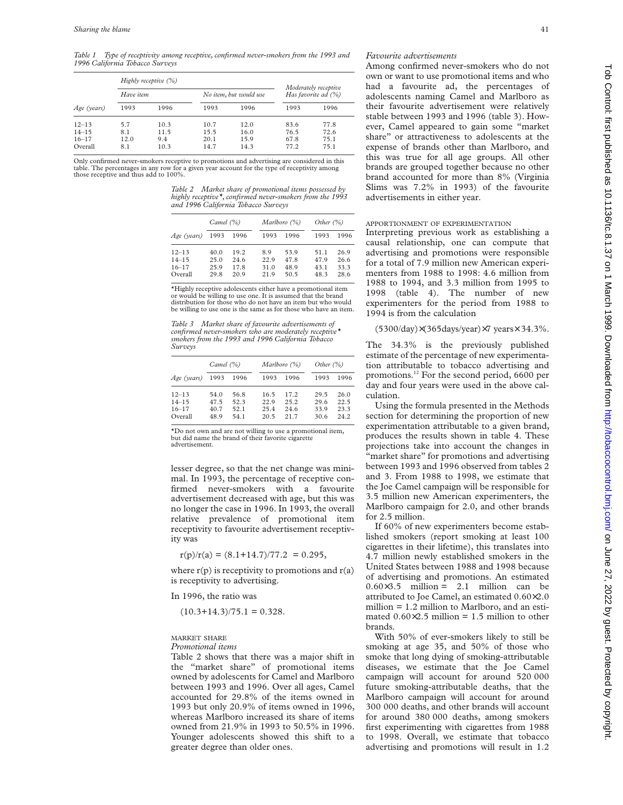*Table 1 Type of receptivity among receptive, confirmed never-smokers from the 1993 and 1996 California Tobacco Surveys*

|                        |             | Highly receptive $(\%)$ |              |                        |              |                                                |
|------------------------|-------------|-------------------------|--------------|------------------------|--------------|------------------------------------------------|
|                        | Have item   |                         |              | No item, but would use |              | Moderately receptive<br>Has favorite ad $(\%)$ |
| Age (years)            | 1993        | 1996                    | 1993         | 1996                   | 1993         | 1996                                           |
| $12 - 13$<br>$14 - 15$ | 5.7<br>8.1  | 10.3<br>11.5            | 10.7<br>15.5 | 12.0<br>16.0           | 83.6<br>76.5 | 77.8<br>72.6                                   |
| $16 - 17$<br>Overall   | 12.0<br>8.1 | 9.4<br>10.3             | 20.1<br>14.7 | 15.9<br>14.3           | 67.8<br>77.2 | 75.1<br>75.1                                   |

Only confirmed never-smokers receptive to promotions and advertising are considered in this table. The percentages in any row for a given year account for the type of receptivity among those receptive and thus add to 100%.

*Table 2 Market share of promotional items possessed by highly receptive\*, confirmed never-smokers from the 1993 and 1996 California Tobacco Surveys*

|                                                | Camel $(\%)$                |                            | Marlboro (%)               |                             | Other $(\%)$                |                              |
|------------------------------------------------|-----------------------------|----------------------------|----------------------------|-----------------------------|-----------------------------|------------------------------|
| Age (years)                                    | 1993                        | 1996                       | 1993                       | 1996                        | 1993                        | 1996                         |
| $12 - 13$<br>$14 - 15$<br>$16 - 17$<br>Overall | 40.0<br>25.0<br>259<br>29.8 | 192<br>24.6<br>178<br>20.9 | 8.9<br>22.9<br>31.0<br>219 | 53.9<br>478<br>48.9<br>50.5 | 51.1<br>479<br>43.1<br>48.3 | 26.9<br>26.6<br>33.3<br>28.6 |

\*Highly receptive adolescents either have a promotional item or would be willing to use one. It is assumed that the brand distribution for those who do not have an item but who would be willing to use one is the same as for those who have an item.

*Table 3 Market share of favourite advertisements of confirmed never-smokers who are moderately receptive\* smokers from the 1993 and 1996 California Tobacco Surveys*

|                                                | Camel $(\%)$                 |                              | Marlboro (%)                |                            | Other $(\%)$                |                            |
|------------------------------------------------|------------------------------|------------------------------|-----------------------------|----------------------------|-----------------------------|----------------------------|
| Age (years)                                    | 1993                         | 1996                         | 1993                        | 1996                       | 1993                        | 1996                       |
| $12 - 13$<br>$14 - 15$<br>$16 - 17$<br>Overall | 54.0<br>47.5<br>40.7<br>48.9 | 56.8<br>52.3<br>52.1<br>54 1 | 16.5<br>22.9<br>254<br>20.5 | 172<br>25.2<br>246<br>21.7 | 295<br>29.6<br>33.9<br>30.6 | 26.0<br>22.5<br>233<br>242 |

\*Do not own and are not willing to use a promotional item, but did name the brand of their favorite cigarette advertisement.

lesser degree, so that the net change was minimal. In 1993, the percentage of receptive confirmed never-smokers with a favourite advertisement decreased with age, but this was no longer the case in 1996. In 1993, the overall relative prevalence of promotional item receptivity to favourite advertisement receptivity was

 $r(p)/r(a) = (8.1 + 14.7)/77.2 = 0.295$ ,

where  $r(p)$  is receptivity to promotions and  $r(a)$ is receptivity to advertising.

In 1996, the ratio was

 $(10.3+14.3)/75.1 = 0.328.$ 

#### MARKET SHARE

*Promotional items*

Table 2 shows that there was a major shift in the "market share" of promotional items owned by adolescents for Camel and Marlboro between 1993 and 1996. Over all ages, Camel accounted for 29.8% of the items owned in 1993 but only 20.9% of items owned in 1996, whereas Marlboro increased its share of items owned from 21.9% in 1993 to 50.5% in 1996. Younger adolescents showed this shift to a greater degree than older ones.

#### *Favourite advertisements*

Among confirmed never-smokers who do not own or want to use promotional items and who had a favourite ad, the percentages of adolescents naming Camel and Marlboro as their favourite advertisement were relatively stable between 1993 and 1996 (table 3). However, Camel appeared to gain some "market share" or attractiveness to adolescents at the expense of brands other than Marlboro, and this was true for all age groups. All other brands are grouped together because no other brand accounted for more than 8% (Virginia Slims was 7.2% in 1993) of the favourite advertisements in either year.

### APPORTIONMENT OF EXPERIMENTATION

Interpreting previous work as establishing a causal relationship, one can compute that advertising and promotions were responsible for a total of 7.9 million new American experimenters from 1988 to 1998: 4.6 million from 1988 to 1994, and 3.3 million from 1995 to 1998 (table 4). The number of new experimenters for the period from 1988 to 1994 is from the calculation

#### (5300/day)×(365days/year)×7 years× 34.3%.

The 34.3% is the previously published estimate of the percentage of new experimentation attributable to tobacco advertising and promotions.12 For the second period, 6600 per day and four years were used in the above calculation.

Using the formula presented in the Methods section for determining the proportion of new experimentation attributable to a given brand, produces the results shown in table 4. These projections take into account the changes in "market share" for promotions and advertising between 1993 and 1996 observed from tables 2 and 3. From 1988 to 1998, we estimate that the Joe Camel campaign will be responsible for 3.5 million new American experimenters, the Marlboro campaign for 2.0, and other brands for 2.5 million.

If 60% of new experimenters become established smokers (report smoking at least 100 cigarettes in their lifetime), this translates into 4.7 million newly established smokers in the United States between 1988 and 1998 because of advertising and promotions. An estimated  $0.60 \times 3.5$  million = 2.1 million can be attributed to Joe Camel, an estimated 0.60×2.0 million = 1.2 million to Marlboro, and an estimated  $0.60 \times 2.5$  million = 1.5 million to other brands.

With 50% of ever-smokers likely to still be smoking at age 35, and 50% of those who smoke that long dying of smoking-attributable diseases, we estimate that the Joe Camel campaign will account for around 520 000 future smoking-attributable deaths, that the Marlboro campaign will account for around 300 000 deaths, and other brands will account for around 380 000 deaths, among smokers first experimenting with cigarettes from 1988 to 1998. Overall, we estimate that tobacco advertising and promotions will result in 1.2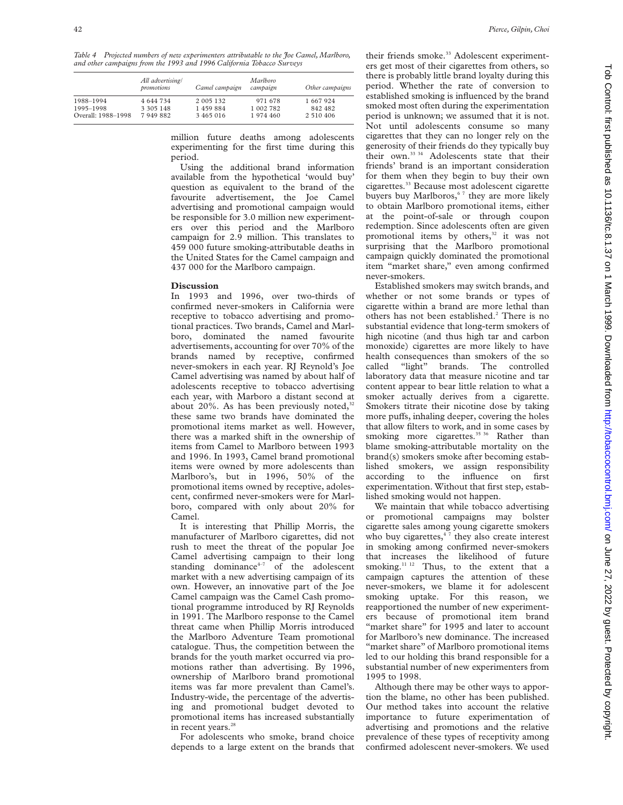*Table 4 Projected numbers of new experimenters attributable to the Joe Camel, Marlboro, and other campaigns from the 1993 and 1996 California Tobacco Surveys*

|                    | All advertising/<br>promotions | Camel campaign | Marlboro<br>campaign | Other campaigns |
|--------------------|--------------------------------|----------------|----------------------|-----------------|
| 1988-1994          | 4 644 734                      | 2 005 132      | 971 678              | 1 667 924       |
| 1995-1998          | 3 305 148                      | 1459884        | 1 002 782            | 842 482         |
| Overall: 1988-1998 | 7 949 882                      | 3 465 016      | 1974 460             | 2 510 406       |

million future deaths among adolescents experimenting for the first time during this period.

Using the additional brand information available from the hypothetical 'would buy' question as equivalent to the brand of the favourite advertisement, the Joe Camel advertising and promotional campaign would be responsible for 3.0 million new experimenters over this period and the Marlboro campaign for 2.9 million. This translates to 459 000 future smoking-attributable deaths in the United States for the Camel campaign and 437 000 for the Marlboro campaign.

#### **Discussion**

In 1993 and 1996, over two-thirds of confirmed never-smokers in California were receptive to tobacco advertising and promotional practices. Two brands, Camel and Marlboro, dominated the named favourite advertisements, accounting for over 70% of the brands named by receptive, confirmed never-smokers in each year. RJ Reynold's Joe Camel advertising was named by about half of adolescents receptive to tobacco advertising each year, with Marboro a distant second at about 20%. As has been previously noted, $32$ these same two brands have dominated the promotional items market as well. However, there was a marked shift in the ownership of items from Camel to Marlboro between 1993 and 1996. In 1993, Camel brand promotional items were owned by more adolescents than Marlboro's, but in 1996, 50% of the promotional items owned by receptive, adolescent, confirmed never-smokers were for Marlboro, compared with only about 20% for Camel.

It is interesting that Phillip Morris, the manufacturer of Marlboro cigarettes, did not rush to meet the threat of the popular Joe Camel advertising campaign to their long standing dominance $47$  of the adolescent market with a new advertising campaign of its own. However, an innovative part of the Joe Camel campaign was the Camel Cash promotional programme introduced by RJ Reynolds in 1991. The Marlboro response to the Camel threat came when Phillip Morris introduced the Marlboro Adventure Team promotional catalogue. Thus, the competition between the brands for the youth market occurred via promotions rather than advertising. By 1996, ownership of Marlboro brand promotional items was far more prevalent than Camel's. Industry-wide, the percentage of the advertising and promotional budget devoted to promotional items has increased substantially in recent years.<sup>28</sup>

For adolescents who smoke, brand choice depends to a large extent on the brands that their friends smoke.<sup>33</sup> Adolescent experimenters get most of their cigarettes from others, so there is probably little brand loyalty during this period. Whether the rate of conversion to established smoking is influenced by the brand smoked most often during the experimentation period is unknown; we assumed that it is not. Not until adolescents consume so many cigarettes that they can no longer rely on the generosity of their friends do they typically buy their own.<sup>33 34</sup> Adolescents state that their friends' brand is an important consideration for them when they begin to buy their own cigarettes.33 Because most adolescent cigarette buyers buy Marlboros,<sup>67</sup> they are more likely to obtain Marlboro promotional items, either at the point-of-sale or through coupon redemption. Since adolescents often are given promotional items by others,<sup>32</sup> it was not surprising that the Marlboro promotional campaign quickly dominated the promotional item "market share," even among confirmed never-smokers.

Established smokers may switch brands, and whether or not some brands or types of cigarette within a brand are more lethal than others has not been established.<sup>2</sup> There is no substantial evidence that long-term smokers of high nicotine (and thus high tar and carbon monoxide) cigarettes are more likely to have health consequences than smokers of the so called "light" brands. The controlled laboratory data that measure nicotine and tar content appear to bear little relation to what a smoker actually derives from a cigarette. Smokers titrate their nicotine dose by taking more puffs, inhaling deeper, covering the holes that allow filters to work, and in some cases by smoking more cigarettes.<sup>35 36</sup> Rather than blame smoking-attributable mortality on the brand(s) smokers smoke after becoming established smokers, we assign responsibility according to the influence on first experimentation. Without that first step, established smoking would not happen.

We maintain that while tobacco advertising or promotional campaigns may bolster cigarette sales among young cigarette smokers who buy cigarettes,<sup>47</sup> they also create interest in smoking among confirmed never-smokers that increases the likelihood of future smoking. $11 12$  Thus, to the extent that a campaign captures the attention of these never-smokers, we blame it for adolescent smoking uptake. For this reason, we reapportioned the number of new experimenters because of promotional item brand "market share" for 1995 and later to account for Marlboro's new dominance. The increased "market share" of Marlboro promotional items led to our holding this brand responsible for a substantial number of new experimenters from 1995 to 1998.

Although there may be other ways to apportion the blame, no other has been published. Our method takes into account the relative importance to future experimentation of advertising and promotions and the relative prevalence of these types of receptivity among confirmed adolescent never-smokers. We used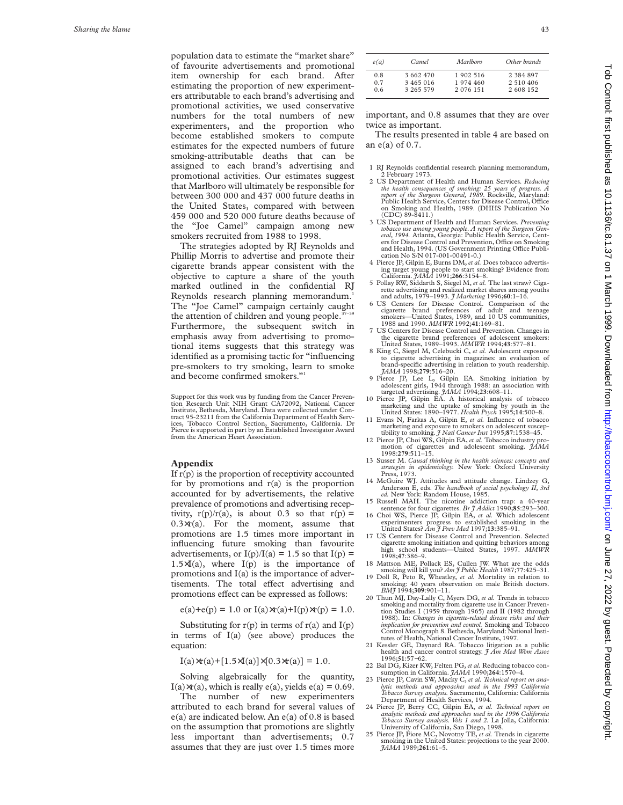population data to estimate the "market share" of favourite advertisements and promotional item ownership for each brand. After estimating the proportion of new experimenters attributable to each brand's advertising and promotional activities, we used conservative numbers for the total numbers of new experimenters, and the proportion who become established smokers to compute estimates for the expected numbers of future smoking-attributable deaths that can be assigned to each brand's advertising and promotional activities. Our estimates suggest that Marlboro will ultimately be responsible for between 300 000 and 437 000 future deaths in the United States, compared with between 459 000 and 520 000 future deaths because of the "Joe Camel" campaign among new smokers recruited from 1988 to 1998.

The strategies adopted by RJ Reynolds and Phillip Morris to advertise and promote their cigarette brands appear consistent with the objective to capture a share of the youth marked outlined in the confidential RJ Reynolds research planning memorandum.<sup>1</sup> The "Joe Camel" campaign certainly caught the attention of children and young people.<sup>3</sup> Furthermore, the subsequent switch in emphasis away from advertising to promotional items suggests that this strategy was identified as a promising tactic for "influencing pre-smokers to try smoking, learn to smoke and become confirmed smokers."

Support for this work was by funding from the Cancer Preven-tion Research Unit NIH Grant CA72092, National Cancer Institute, Bethesda, Maryland. Data were collected under Contract 95-23211 from the California Department of Health Services, Tobacco Control Section, Sacramento, California. Dr Pierce is supported in part by an Established Investigator Award from the American Heart Association.

#### **Appendix**

If  $r(p)$  is the proportion of receptivity accounted for by promotions and  $r(a)$  is the proportion accounted for by advertisements, the relative prevalence of promotions and advertising receptivity,  $r(p)/r(a)$ , is about 0.3 so that  $r(p) =$  $0.3\times r(a)$ . For the moment, assume that promotions are 1.5 times more important in influencing future smoking than favourite advertisements, or  $I(p)/I(a) = 1.5$  so that  $I(p) =$  $1.5\times I(a)$ , where  $I(p)$  is the importance of promotions and I(a) is the importance of advertisements. The total effect advertising and promotions effect can be expressed as follows:

 $e(a)+e(p) = 1.0$  or  $I(a) \times r(a) + I(p) \times r(p) = 1.0$ .

Substituting for  $r(p)$  in terms of  $r(a)$  and  $I(p)$ in terms of I(a) (see above) produces the equation:

 $I(a) \times r(a) + [1.5 \times I(a)] \times [0.3 \times r(a)] = 1.0.$ 

Solving algebraically for the quantity,  $I(a)\times r(a)$ , which is really e(a), yields e(a) = 0.69.

The number of new experimenters attributed to each brand for several values of e(a) are indicated below. An e(a) of 0.8 is based on the assumption that promotions are slightly less important than advertisements; 0.7 assumes that they are just over 1.5 times more

| e(a) | Camel     | Marlboro      | Other brands  |
|------|-----------|---------------|---------------|
| 0.8  | 3 662 470 | 1902 516      | 2 3 8 4 8 9 7 |
| 0.7  | 3465016   | 1974 460      | 2 510 406     |
| 0.6  | 3 265 579 | 2 0 7 6 1 5 1 | 2 608 152     |

important, and 0.8 assumes that they are over twice as important.

The results presented in table 4 are based on an e(a) of 0.7.

- 1 RJ Reynolds confidential research planning memorandum, 2 February 1973.
- 2 US Department of Health and Human Services. *Reducing the health consequences of smoking: 25 years of progress. A report of the Surgeon General, 1989*. Rockville, Maryland: Public Health Service, Centers for Disease Control, Office on Smoking and Health, 1989. (DHHS Publication No (CDC) 89-8411.)
- 3 US Department of Health and Human Services. *Preventing tobacco use among young people. A report of the Surgeon Gen-eral, 1994.* Atlanta, Georgia: Public Health Service, Centers for Disease Control and Prevention, Office on Smoking<br>and Health, 1994. (US Government Printing Office Publi-<br>cation No S/N 017-001-00491-0.)
- 4 Pierce JP, Gilpin E, Burns DM,*et al.* Does tobacco advertising target young people to start smoking? Evidence from California. *JAMA* 1991;**266**:3154–8.
- 5 Pollay RW, Siddarth S, Siegel M, *et al.* The last straw? Ciga-rette advertising and realized market shares among youths
- and adults, 1979–1993. *J Marketing* 1996;**60**:1–16.<br>
6 US Centers for Disease Control. Comparison of the<br>
cigarette brand preferences of adult and teenage<br>
smokers—United States, 1989, and 10 US communities, 1988 and 1990. *MMWR* 1992;**41**:169–81.
- 7 US Centers for Disease Control and Prevention. Changes in the cigarette brand preferences of adolescent smokers: United States, 1989–1993. *MMWR* 1994;**43**:577–81.
- 8 King C, Siegel M, Celebucki C, *et al.* Adolescent exposure to cigarette advertising in magazines: an evaluation of brand-specific advertising in relation to youth readership. *JAMA* 1998;**279**:516–20.
- 9 Pierce JP, Lee L, Gilpin EA. Smoking initiation by adolescent girls, 1944 through 1988: an association with
- targeted advertising. *JAMA* 1994;**23**:608–11. 10 Pierce JP, Gilpin EA. A historical analysis of tobacco marketing and the uptake of smoking by youth in the United States: 1890–1977. *Health Psych* 1995;**14**:500–8.
- 11 Evans N, Farkas A, Gilpin E, *et al.* Influence of tobacco marketing and exposure to smokers on adolescent suscep-<br>tibility to smoking. *J Natl Cancer Inst* 1995;**87**:1538–45.<br>12 Pierce JP, Choi WS, Gilpin EA, *et al*. Tobacco industry pro-
- motion of cigarettes and adolescent smoking. *JAMA* 1998:**279**:511–15.
- 13 Susser M. *Causal thinking in the health sciences: concepts and strategies in epidemiology.* New York: Oxford University Press, 1973.
- 14 McGuire WJ. Attitudes and attitude change. Lindzey G, Anderson E, eds. *The handbook of social psychology II, 3rd ed.* New York: Random House, 1985.
- 
- 15 Russell MAH. The nicotine addiction trap: a 40-year sentence for four cigarettes. *Br J Addict* 1990;**85**:293–300. 16 Choi WS, Pierce JP, Gilpin EA, *et al.* Which adolescent experimenters progress to established smoking in the United States? *Am J Prev Med* 1997;**13**:385–91.
- 17 US Centers for Disease Control and Prevention. Selected cigarette smoking initiation and quitting behaviors among high school students—United States, 1997. *MMWR* 1998;**47**:386–9.
- 18 Mattson ME, Pollack ES, Cullen JW. What are the odds smoking will kill you? *Am J Public Health* 1987;**77**:425–31. 19 Doll R, Peto R, Wheatley, *et al.* Mortality in relation to
- smoking: 40 years observation on male British doctors. *BMJ* 1994;**309**:901–11.
- 20 Thun MJ, Day-Lally C, Myers DG, *et al.* Trends in tobacco smoking and mortality from cigarette use in Cancer Prevention Studies I (1959 through 1965) and II (1982 through 1988). In: *Changes in cigarette-related disease risks and their implication for prevention and control.* Smoking and Tobacco Control Monograph 8. Bethesda, Maryland: National Institutes of Health, National Cancer Institute, 1997.
- 21 Kessler GE, Daynard RA. Tobacco litigation as a public health and cancer control strategy. *J Am Med Wom Assoc* 1996;**51**:57−62.
- 22 Bal DG, Kizer KW, Felten PG,*et al.* Reducing tobacco consumption in California. *JAMA* 1990;**264**:1570–4.
- 23 Pierce JP, Cavin SW, Macky C, *et al. Technical report on ana-lytic methods and approaches used in the 1993 California Tobacco Survey analysis.* Sacramento, California: California Department of Health Services, 1994.
- 24 Pierce JP, Berry CC, Gilpin EA, et al. Technical report on analytic methods and approaches used in the 1996 California Tobacco Survey analysis. Vols 1 and 2. La Jolla, California: University of California, San Diego, 19
- 25 Pierce JP, Fiore MC, Novotny TE, *et al.* Trends in cigarette smoking in the United States: projections to the year 2000. *JAMA* 1989;**261**:61–5.